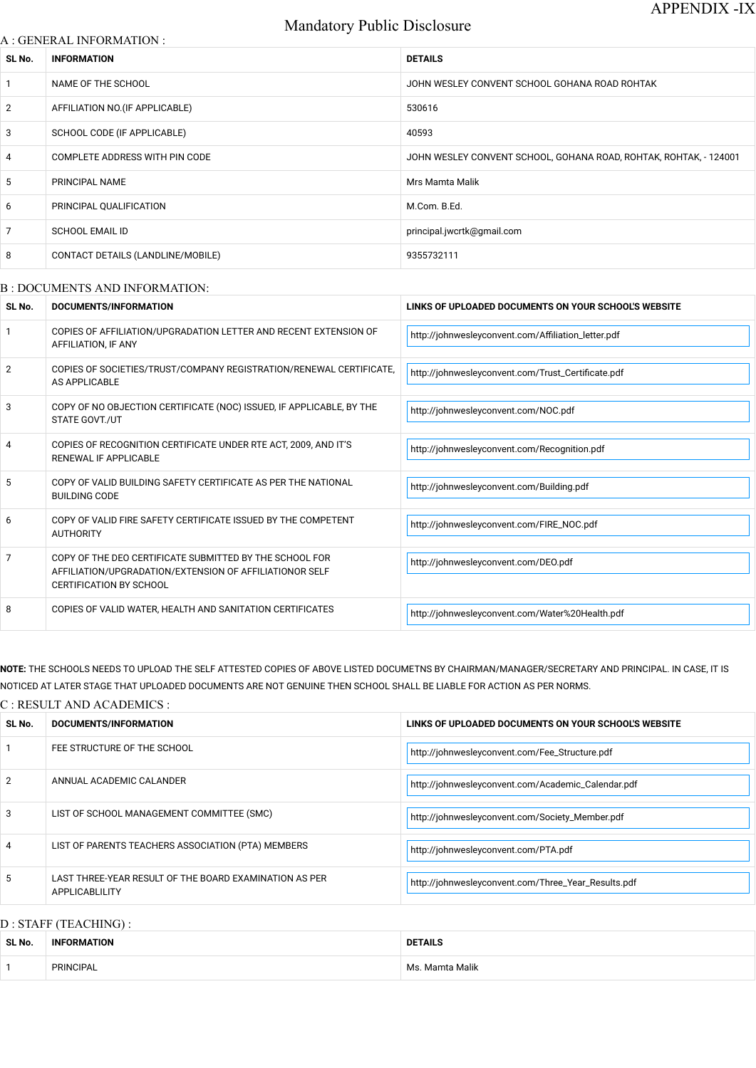# Mandatory Public Disclosure

### A : GENERAL INFORMATION :

| SL No.          | <b>INFORMATION</b>                | <b>DETAILS</b>                                                    |
|-----------------|-----------------------------------|-------------------------------------------------------------------|
| $\mathbf{1}$    | NAME OF THE SCHOOL                | JOHN WESLEY CONVENT SCHOOL GOHANA ROAD ROHTAK                     |
| 2               | AFFILIATION NO. (IF APPLICABLE)   | 530616                                                            |
| 3               | SCHOOL CODE (IF APPLICABLE)       | 40593                                                             |
| $\overline{4}$  | COMPLETE ADDRESS WITH PIN CODE    | JOHN WESLEY CONVENT SCHOOL, GOHANA ROAD, ROHTAK, ROHTAK, - 124001 |
| $5\phantom{.0}$ | PRINCIPAL NAME                    | Mrs Mamta Malik                                                   |
| 6               | PRINCIPAL QUALIFICATION           | M.Com. B.Ed.                                                      |
| $\overline{7}$  | <b>SCHOOL EMAIL ID</b>            | principal.jwcrtk@gmail.com                                        |
| 8               | CONTACT DETAILS (LANDLINE/MOBILE) | 9355732111                                                        |
|                 |                                   |                                                                   |

# B : DOCUMENTS AND INFORMATION:

| SL No. | <b>DOCUMENTS/INFORMATION</b>                                                                                                                         | LINKS OF UPLOADED DOCUMENTS ON YOUR SCHOOL'S WEBSITE |  |
|--------|------------------------------------------------------------------------------------------------------------------------------------------------------|------------------------------------------------------|--|
|        | COPIES OF AFFILIATION/UPGRADATION LETTER AND RECENT EXTENSION OF<br>AFFILIATION, IF ANY                                                              | http://johnwesleyconvent.com/Affiliation_letter.pdf  |  |
| 2      | COPIES OF SOCIETIES/TRUST/COMPANY REGISTRATION/RENEWAL CERTIFICATE,<br>AS APPLICABLE                                                                 | http://johnwesleyconvent.com/Trust_Certificate.pdf   |  |
| 3      | COPY OF NO OBJECTION CERTIFICATE (NOC) ISSUED, IF APPLICABLE, BY THE<br><b>STATE GOVT./UT</b>                                                        | http://johnwesleyconvent.com/NOC.pdf                 |  |
| 4      | COPIES OF RECOGNITION CERTIFICATE UNDER RTE ACT, 2009, AND IT'S<br>RENEWAL IF APPLICABLE                                                             | http://johnwesleyconvent.com/Recognition.pdf         |  |
| 5      | COPY OF VALID BUILDING SAFETY CERTIFICATE AS PER THE NATIONAL<br><b>BUILDING CODE</b>                                                                | http://johnwesleyconvent.com/Building.pdf            |  |
| 6      | COPY OF VALID FIRE SAFETY CERTIFICATE ISSUED BY THE COMPETENT<br><b>AUTHORITY</b>                                                                    | http://johnwesleyconvent.com/FIRE_NOC.pdf            |  |
| 7      | COPY OF THE DEO CERTIFICATE SUBMITTED BY THE SCHOOL FOR<br>AFFILIATION/UPGRADATION/EXTENSION OF AFFILIATIONOR SELF<br><b>CERTIFICATION BY SCHOOL</b> | http://johnwesleyconvent.com/DEO.pdf                 |  |
| 8      | COPIES OF VALID WATER, HEALTH AND SANITATION CERTIFICATES                                                                                            | http://johnwesleyconvent.com/Water%20Health.pdf      |  |

**NOTE:** THE SCHOOLS NEEDS TO UPLOAD THE SELF ATTESTED COPIES OF ABOVE LISTED DOCUMETNS BY CHAIRMAN/MANAGER/SECRETARY AND PRINCIPAL. IN CASE, IT IS NOTICED AT LATER STAGE THAT UPLOADED DOCUMENTS ARE NOT GENUINE THEN SCHOOL SHALL BE LIABLE FOR ACTION AS PER NORMS.

C : RESULT AND ACADEMICS :

| SL No.         | DOCUMENTS/INFORMATION       | LINKS OF UPLOADED DOCUMENTS ON YOUR SCHOOL'S WEBSITE |
|----------------|-----------------------------|------------------------------------------------------|
|                | FEE STRUCTURE OF THE SCHOOL | http://johnwesleyconvent.com/Fee_Structure.pdf       |
| $\overline{2}$ | ANNUAL ACADEMIC CALANDER    | http://johnwesleyconvent.com/Academic_Calendar.pdf   |

|   | LIST OF SCHOOL MANAGEMENT COMMITTEE (SMC)                                | http://johnwesleyconvent.com/Society_Member.pdf     |
|---|--------------------------------------------------------------------------|-----------------------------------------------------|
| 4 | LIST OF PARENTS TEACHERS ASSOCIATION (PTA) MEMBERS                       | http://johnwesleyconvent.com/PTA.pdf                |
|   | LAST THREE-YEAR RESULT OF THE BOARD EXAMINATION AS PER<br>APPLICABLILITY | http://johnwesleyconvent.com/Three_Year_Results.pdf |

# D : STAFF (TEACHING) :

| SL No. | <b>FORMATION</b><br><b>INF</b> | <b>DETAILS</b>       |  |
|--------|--------------------------------|----------------------|--|
|        | <b>PRINCIPAL</b>               | . Mamta Malik<br>Ms. |  |